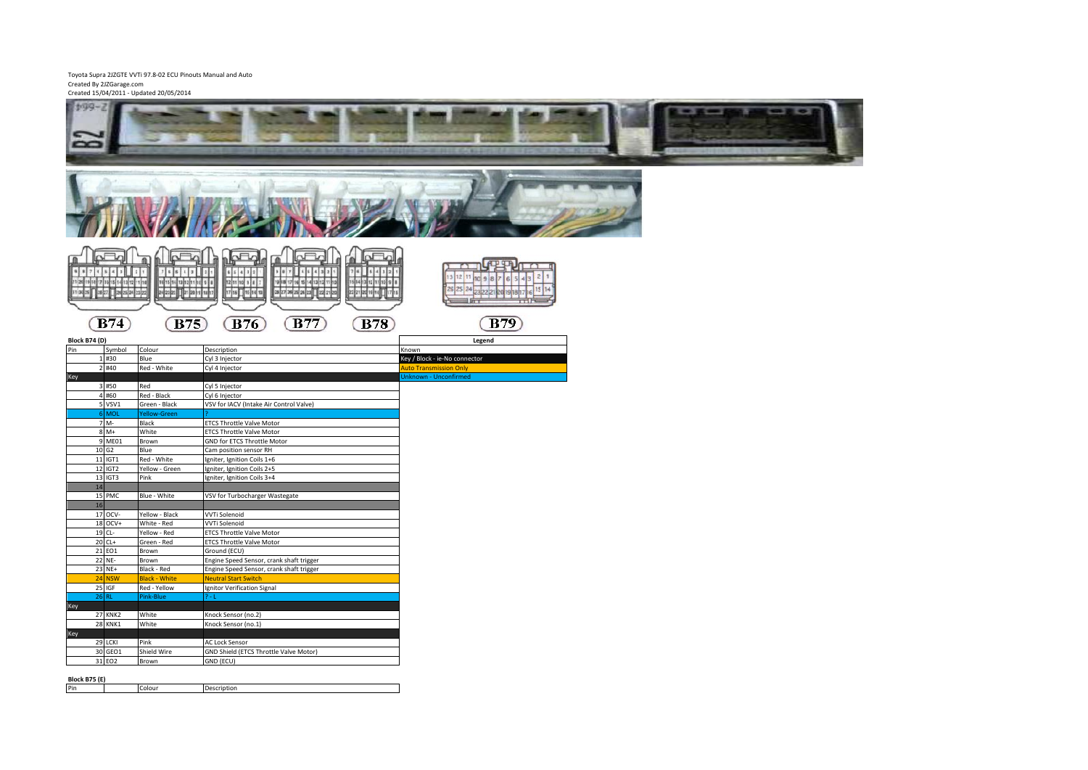# Toyota Supra 2JZGTE VVTi 97.8-02 ECU Pinouts Manual and Auto Created By 2JZGarage.com Created 15/04/2011 - Updated 20/05/2014

|                                     | Created 15/04/2011 - Updated 20/05/2014 |                                                                                                                |                                                     |
|-------------------------------------|-----------------------------------------|----------------------------------------------------------------------------------------------------------------|-----------------------------------------------------|
| 199-2                               |                                         |                                                                                                                |                                                     |
|                                     |                                         |                                                                                                                |                                                     |
|                                     |                                         |                                                                                                                |                                                     |
|                                     |                                         |                                                                                                                |                                                     |
|                                     |                                         |                                                                                                                |                                                     |
|                                     |                                         |                                                                                                                |                                                     |
|                                     |                                         |                                                                                                                |                                                     |
|                                     |                                         |                                                                                                                |                                                     |
|                                     |                                         |                                                                                                                |                                                     |
|                                     |                                         |                                                                                                                |                                                     |
|                                     |                                         |                                                                                                                |                                                     |
|                                     |                                         |                                                                                                                |                                                     |
|                                     |                                         |                                                                                                                |                                                     |
|                                     |                                         |                                                                                                                | nFn                                                 |
|                                     |                                         | h Fh<br>g<br>Ą                                                                                                 | <b>ATP TTN</b><br>$\overline{1}$                    |
| $9871$ $8431$                       | 76512                                   | 887854321<br>65412                                                                                             | $76$ $54$ $32$                                      |
| 21 29 19 14 17 15 15 14 13 12 11 10 |                                         |                                                                                                                | 13 12 11 10 9 8 7<br>5 4 3<br>15 14 13 12 11 13 9 8 |
| 31 30 29 38 27 38 28 24 23 22       | RSR DRNK 1 8                            | 19 18 17 16 18 14 13 12 11 19<br><mark>28 27 28 28 29 11</mark> 22 21 20<br>12 11 10 9 8 7<br>17 16 - 15 14 13 | 26 25 24<br>22 21 20 16 18 17 17 18                 |
|                                     |                                         |                                                                                                                | ETT<br>TTH-                                         |
|                                     |                                         |                                                                                                                |                                                     |
| $\overline{B74}$                    | <b>B75</b>                              | <b>B77</b><br><b>B76</b>                                                                                       | B79<br><b>B78</b>                                   |
| Block B74 (D)                       |                                         |                                                                                                                | Legend                                              |
| Pin<br>Symbol                       | Colour                                  | Description                                                                                                    | Known                                               |
| 1#30                                | Blue                                    | Cyl 3 Injector                                                                                                 | Key / Block - ie-No connector                       |
| 2 #40                               | Red - White                             | Cyl 4 Injector                                                                                                 | <b>Auto Transmission Only</b>                       |
| Key                                 |                                         |                                                                                                                | Unknown - Unconfirmed                               |
| 3 #50<br>4 #60                      | Red                                     | Cyl 5 Injector                                                                                                 |                                                     |
| 5 VSV1                              | Red - Black<br>Green - Black            | Cyl 6 Injector<br>VSV for IACV (Intake Air Control Valve)                                                      |                                                     |
| 6 MOL                               | Yellow-Green                            |                                                                                                                |                                                     |
| 7 M-                                | Black                                   | <b>ETCS Throttle Valve Motor</b>                                                                               |                                                     |
| $8M+$                               | White                                   | <b>ETCS Throttle Valve Motor</b>                                                                               |                                                     |
| 9 ME01                              | Brown                                   | GND for ETCS Throttle Motor                                                                                    |                                                     |
| 10 G <sub>2</sub>                   | Blue                                    | Cam position sensor RH                                                                                         |                                                     |
| 11 IGT1                             | Red - White                             | Igniter, Ignition Coils 1+6                                                                                    |                                                     |
| 12 IGT2                             | Yellow - Green                          | Igniter, Ignition Coils 2+5                                                                                    |                                                     |
| 13 IGT3<br>14                       | Pink                                    | Igniter, Ignition Coils 3+4                                                                                    |                                                     |
| 15 PMC                              | Blue - White                            | VSV for Turbocharger Wastegate                                                                                 |                                                     |
| 16                                  |                                         |                                                                                                                |                                                     |
| 17 OCV-                             | Yellow - Black                          | <b>VVTi Solenoid</b>                                                                                           |                                                     |
| 18 OCV+                             | White - Red                             | <b>VVTi Solenoid</b>                                                                                           |                                                     |
| 19 CL-                              | Yellow - Red                            | <b>ETCS Throttle Valve Motor</b>                                                                               |                                                     |
| 20 CL+                              | Green - Red                             | <b>ETCS Throttle Valve Motor</b>                                                                               |                                                     |
| 21 EO1<br>22 NE-                    | Brown<br>Brown                          | Ground (ECU)<br>Engine Speed Sensor, crank shaft trigger                                                       |                                                     |
| 23 NE+                              | <b>Black - Red</b>                      | Engine Speed Sensor, crank shaft trigger                                                                       |                                                     |
| 24 NSW                              | <b>Black - White</b>                    | <b>Neutral Start Switch</b>                                                                                    |                                                     |
| 25 IGF                              | Red - Yellow                            | Ignitor Verification Signal                                                                                    |                                                     |
| $26$ RL                             | Pink-Blue                               | $-1$                                                                                                           |                                                     |
| Key                                 |                                         |                                                                                                                |                                                     |
| <b>27 KNK2</b>                      | White                                   | Knock Sensor (no.2)                                                                                            |                                                     |
| <b>28 KNK1</b>                      | White                                   | Knock Sensor (no.1)                                                                                            |                                                     |
| Key<br>29 LCKI                      | Pink                                    | <b>AC Lock Sensor</b>                                                                                          |                                                     |
| 30 GEO1                             | Shield Wire                             | GND Shield (ETCS Throttle Valve Motor)                                                                         |                                                     |
| 31 EO2                              | Brown                                   | GND (ECU)                                                                                                      |                                                     |
|                                     |                                         |                                                                                                                |                                                     |
| <b>Block B75 (E)</b>                |                                         |                                                                                                                |                                                     |
| Pin                                 | Colour                                  | Description                                                                                                    |                                                     |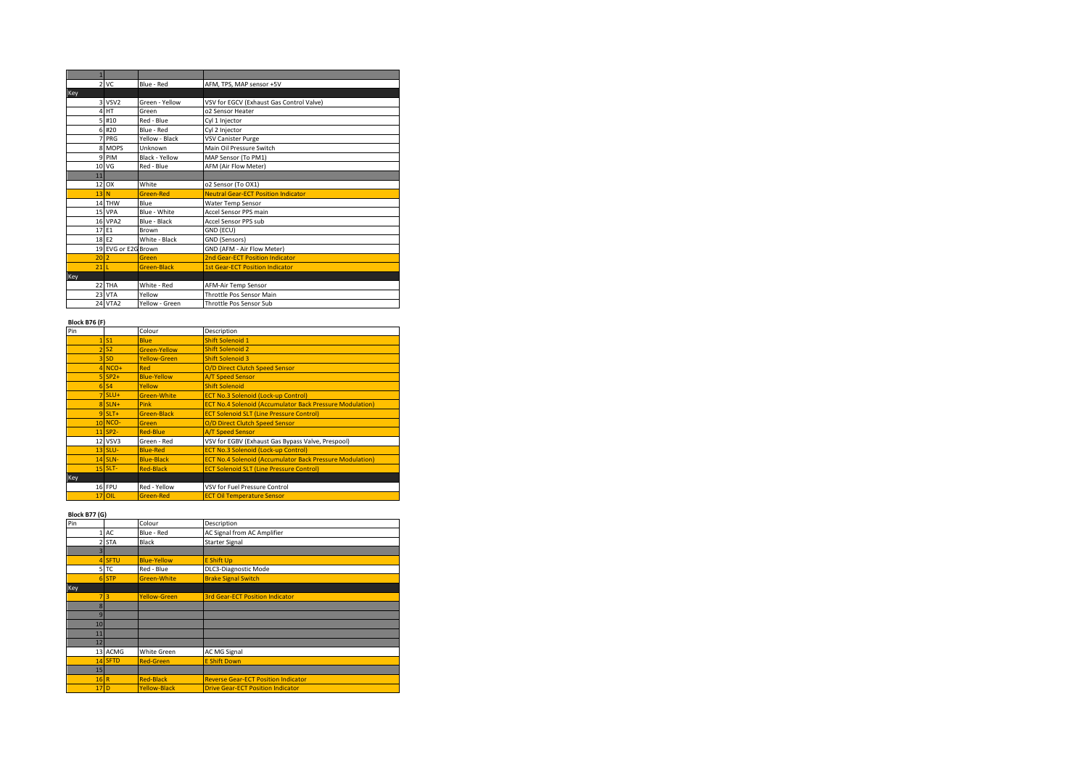| $\mathbf{1}$   |                     |                    |                                            |
|----------------|---------------------|--------------------|--------------------------------------------|
| $\overline{2}$ | VC                  | Blue - Red         | AFM, TPS, MAP sensor +5V                   |
| Key            |                     |                    |                                            |
|                | 3 VSV <sub>2</sub>  | Green - Yellow     | VSV for EGCV (Exhaust Gas Control Valve)   |
| 4              | HT                  | Green              | o2 Sensor Heater                           |
|                | 5 #10               | Red - Blue         | Cyl 1 Injector                             |
|                | 6 #20               | Blue - Red         | Cyl 2 Injector                             |
| $\overline{7}$ | PRG                 | Yellow - Black     | VSV Canister Purge                         |
|                | 8 MOPS              | Unknown            | Main Oil Pressure Switch                   |
|                | 9 PIM               | Black - Yellow     | MAP Sensor (To PM1)                        |
|                | 10 VG               | Red - Blue         | AFM (Air Flow Meter)                       |
| 11             |                     |                    |                                            |
|                | 12 OX               | White              | o2 Sensor (To OX1)                         |
| 13N            |                     | <b>Green-Red</b>   | <b>Neutral Gear-ECT Position Indicator</b> |
|                | 14 THW              | Blue               | Water Temp Sensor                          |
|                | 15 VPA              | Blue - White       | Accel Sensor PPS main                      |
|                | <b>16 VPA2</b>      | Blue - Black       | Accel Sensor PPS sub                       |
|                | 17 E1               | <b>Brown</b>       | GND (ECU)                                  |
|                | 18 E2               | White - Black      | GND (Sensors)                              |
|                | 19 EVG or E2G Brown |                    | GND (AFM - Air Flow Meter)                 |
| 20             | $\overline{2}$      | Green              | 2nd Gear-ECT Position Indicator            |
| 21             |                     | <b>Green-Black</b> | <b>1st Gear-ECT Position Indicator</b>     |
| Key            |                     |                    |                                            |
|                | 22 THA              | White - Red        | AFM-Air Temp Sensor                        |
|                | 23 VTA              | Yellow             | Throttle Pos Sensor Main                   |
|                | <b>24 VTA2</b>      | Yellow - Green     | Throttle Pos Sensor Sub                    |

### **Block B76 (F)**

| Pin |                    | Colour              | Description                                                     |
|-----|--------------------|---------------------|-----------------------------------------------------------------|
|     | $1$ S <sub>1</sub> | <b>Blue</b>         | <b>Shift Solenoid 1</b>                                         |
|     | <b>S2</b><br>21    | <b>Green-Yellow</b> | <b>Shift Solenoid 2</b>                                         |
|     | $3$ SD             | <b>Yellow-Green</b> | <b>Shift Solenoid 3</b>                                         |
|     | $4$ NCO+           | Red                 | O/D Direct Clutch Speed Sensor                                  |
|     | $5$ SP2+           | <b>Blue-Yellow</b>  | <b>A/T Speed Sensor</b>                                         |
|     | $6$ $S4$           | Yellow              | <b>Shift Solenoid</b>                                           |
|     | $7$ SLU+           | <b>Green-White</b>  | <b>ECT No.3 Solenoid (Lock-up Control)</b>                      |
|     | $8$ SLN+           | Pink                | <b>ECT No.4 Solenoid (Accumulator Back Pressure Modulation)</b> |
|     | $9$ SLT+           | <b>Green-Black</b>  | <b>ECT Solenoid SLT (Line Pressure Control)</b>                 |
|     | $10$ NCO-          | Green               | O/D Direct Clutch Speed Sensor                                  |
|     | $11$ SP2-          | <b>Red-Blue</b>     | <b>A/T Speed Sensor</b>                                         |
|     | 12 VSV3            | Green - Red         | VSV for EGBV (Exhaust Gas Bypass Valve, Prespool)               |
|     | 13 SLU-            | <b>Blue-Red</b>     | <b>ECT No.3 Solenoid (Lock-up Control)</b>                      |
|     | <b>14 SLN-</b>     | <b>Blue-Black</b>   | <b>ECT No.4 Solenoid (Accumulator Back Pressure Modulation)</b> |
|     | $15$ SLT-          | <b>Red-Black</b>    | <b>ECT Solenoid SLT (Line Pressure Control)</b>                 |
| Key |                    |                     |                                                                 |
|     | 16 FPU             | Red - Yellow        | VSV for Fuel Pressure Control                                   |
|     | $17$ OIL           | <b>Green-Red</b>    | <b>ECT Oil Temperature Sensor</b>                               |

#### **Block B77 (G)**

| Pin            |         | Colour              | Description                                |
|----------------|---------|---------------------|--------------------------------------------|
|                | 1 AC    | Blue - Red          | AC Signal from AC Amplifier                |
|                | 2 STA   | Black               | <b>Starter Signal</b>                      |
| ₹              |         |                     |                                            |
|                | 4 SFTU  | <b>Blue-Yellow</b>  | <b>E Shift Up</b>                          |
|                | 5 TC    | Red - Blue          | DLC3-Diagnostic Mode                       |
|                | $6$ STP | <b>Green-White</b>  | <b>Brake Signal Switch</b>                 |
| Key            |         |                     |                                            |
|                | 713     | <b>Yellow-Green</b> | <b>3rd Gear-ECT Position Indicator</b>     |
| 8              |         |                     |                                            |
| $\overline{9}$ |         |                     |                                            |
| 10             |         |                     |                                            |
| 11             |         |                     |                                            |
| 12             |         |                     |                                            |
|                | 13 ACMG | <b>White Green</b>  | <b>AC MG Signal</b>                        |
|                | 14 SFTD | <b>Red-Green</b>    | <b>E Shift Down</b>                        |
| 15             |         |                     |                                            |
| $16$ R         |         | <b>Red-Black</b>    | <b>Reverse Gear-ECT Position Indicator</b> |
| 17D            |         | <b>Yellow-Black</b> | <b>Drive Gear-ECT Position Indicator</b>   |